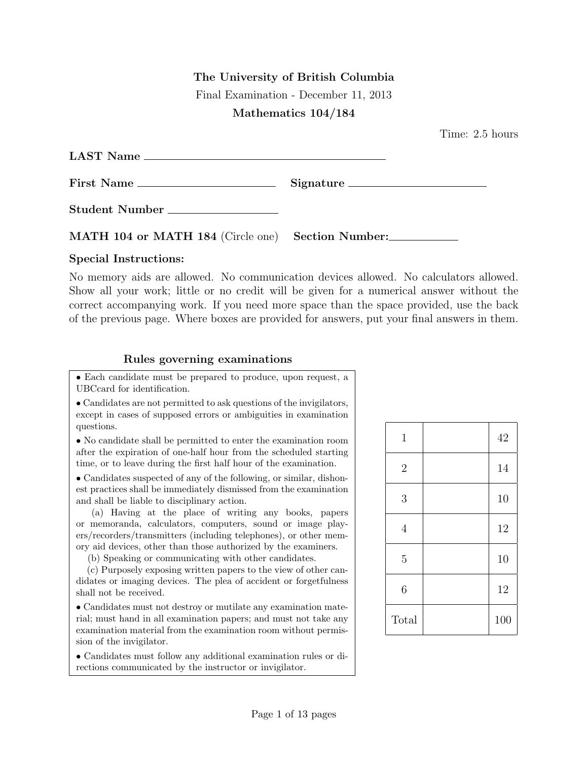## The University of British Columbia

Final Examination - December 11, 2013

## Mathematics 104/184

Time: 2.5 hours

| LAST Name                                         |           |
|---------------------------------------------------|-----------|
| First Name                                        | Signature |
| Student Number                                    |           |
| MATH 104 or MATH 184 (Circle one) Section Number: |           |

## Special Instructions:

No memory aids are allowed. No communication devices allowed. No calculators allowed. Show all your work; little or no credit will be given for a numerical answer without the correct accompanying work. If you need more space than the space provided, use the back of the previous page. Where boxes are provided for answers, put your final answers in them.

## Rules governing examinations

• Each candidate must be prepared to produce, upon request, a UBCcard for identification.

• Candidates are not permitted to ask questions of the invigilators, except in cases of supposed errors or ambiguities in examination questions.

• No candidate shall be permitted to enter the examination room after the expiration of one-half hour from the scheduled starting time, or to leave during the first half hour of the examination.

• Candidates suspected of any of the following, or similar, dishonest practices shall be immediately dismissed from the examination and shall be liable to disciplinary action.

(a) Having at the place of writing any books, papers or memoranda, calculators, computers, sound or image players/recorders/transmitters (including telephones), or other memory aid devices, other than those authorized by the examiners.

(b) Speaking or communicating with other candidates.

(c) Purposely exposing written papers to the view of other candidates or imaging devices. The plea of accident or forgetfulness shall not be received.

• Candidates must not destroy or mutilate any examination material; must hand in all examination papers; and must not take any examination material from the examination room without permission of the invigilator.

• Candidates must follow any additional examination rules or directions communicated by the instructor or invigilator.

| 1              | 42  |
|----------------|-----|
| $\overline{2}$ | 14  |
| 3              | 10  |
| $\overline{4}$ | 12  |
| $\overline{5}$ | 10  |
| $\sqrt{6}$     | 12  |
| Total          | 100 |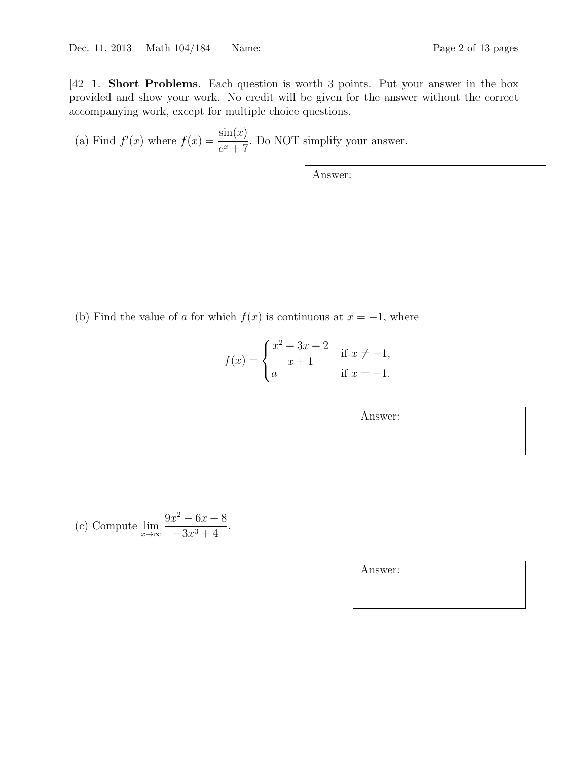[42] 1. Short Problems. Each question is worth 3 points. Put your answer in the box provided and show your work. No credit will be given for the answer without the correct accompanying work, except for multiple choice questions.

(a) Find  $f'(x)$  where  $f(x) = \frac{\sin(x)}{x+5}$  $\frac{\sin(x)}{e^x + 7}$ . Do NOT simplify your answer.

Answer:

(b) Find the value of a for which  $f(x)$  is continuous at  $x = -1$ , where

$$
f(x) = \begin{cases} \frac{x^2 + 3x + 2}{x + 1} & \text{if } x \neq -1, \\ a & \text{if } x = -1. \end{cases}
$$

Answer:

(c) Compute  $\lim_{x\to\infty}$  $9x^2 - 6x + 8$  $\frac{6x+8}{-3x^3+4}$ .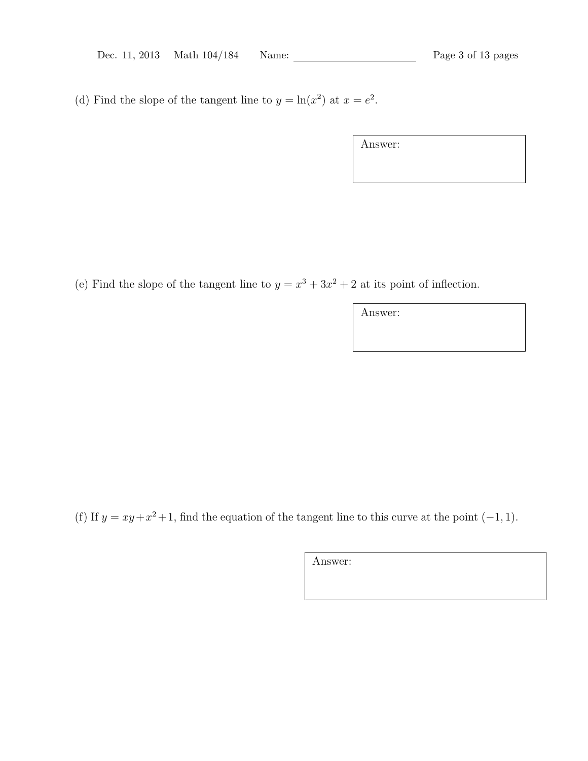(d) Find the slope of the tangent line to  $y = \ln(x^2)$  at  $x = e^2$ .

| Answer: |  |  |
|---------|--|--|
|         |  |  |
|         |  |  |

(e) Find the slope of the tangent line to  $y = x^3 + 3x^2 + 2$  at its point of inflection.

Answer:

(f) If  $y = xy + x^2 + 1$ , find the equation of the tangent line to this curve at the point  $(-1, 1)$ .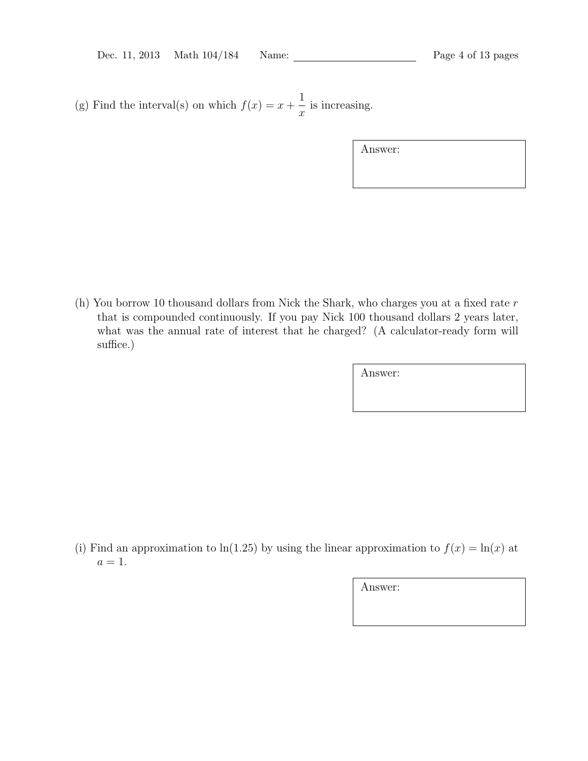(g) Find the interval(s) on which  $f(x) = x +$ 1  $\overline{x}$ is increasing.

Answer:

(h) You borrow 10 thousand dollars from Nick the Shark, who charges you at a fixed rate r that is compounded continuously. If you pay Nick 100 thousand dollars 2 years later, what was the annual rate of interest that he charged? (A calculator-ready form will suffice.)

Answer:

(i) Find an approximation to ln(1.25) by using the linear approximation to  $f(x) = \ln(x)$  at  $a=1$ .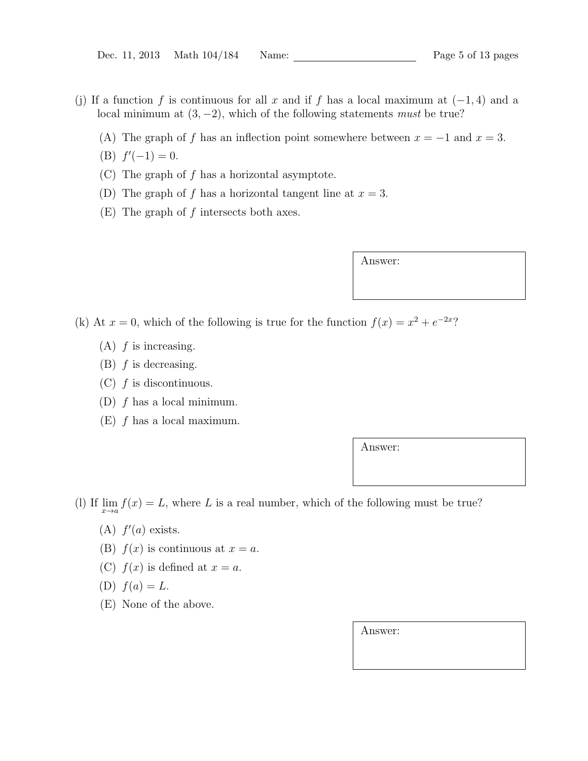- (j) If a function f is continuous for all x and if f has a local maximum at  $(-1, 4)$  and a local minimum at  $(3, -2)$ , which of the following statements must be true?
	- (A) The graph of f has an inflection point somewhere between  $x = -1$  and  $x = 3$ .
	- (B)  $f'(-1) = 0$ .
	- (C) The graph of f has a horizontal asymptote.
	- (D) The graph of f has a horizontal tangent line at  $x = 3$ .
	- $(E)$  The graph of f intersects both axes.

Answer:

- (k) At  $x = 0$ , which of the following is true for the function  $f(x) = x^2 + e^{-2x}$ ?
	- $(A)$  f is increasing.
	- $(B)$  f is decreasing.
	- $(C)$  f is discontinuous.
	- (D)  $f$  has a local minimum.
	- $(E)$  f has a local maximum.

Answer:

- (l) If  $\lim_{x\to a} f(x) = L$ , where L is a real number, which of the following must be true?
	- (A)  $f'(a)$  exists.
	- (B)  $f(x)$  is continuous at  $x = a$ .
	- (C)  $f(x)$  is defined at  $x = a$ .
	- (D)  $f(a) = L$ .
	- (E) None of the above.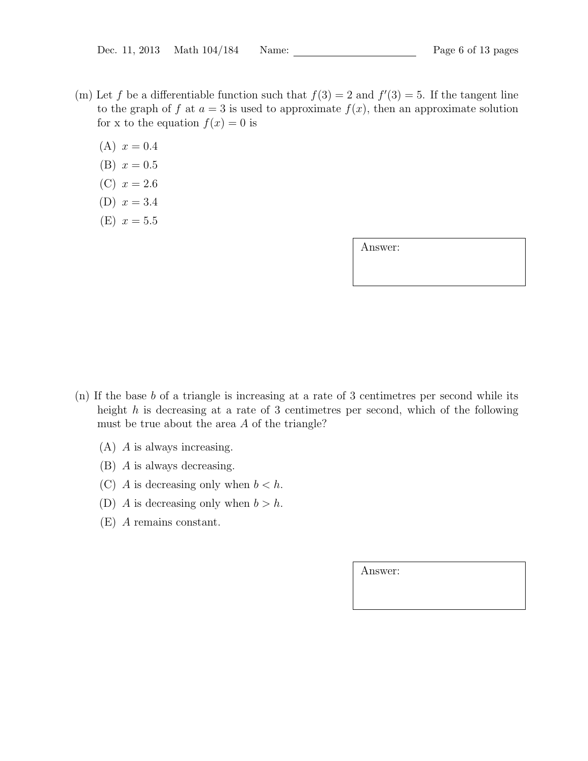- (m) Let f be a differentiable function such that  $f(3) = 2$  and  $f'(3) = 5$ . If the tangent line to the graph of f at  $a = 3$  is used to approximate f(x), then an approximate solution for x to the equation  $f(x) = 0$  is
	- $(A)$   $x = 0.4$
	- (B)  $x = 0.5$
	- (C)  $x = 2.6$
	- (D)  $x = 3.4$
	- (E)  $x = 5.5$

Answer:

- (n) If the base b of a triangle is increasing at a rate of 3 centimetres per second while its height  $h$  is decreasing at a rate of 3 centimetres per second, which of the following must be true about the area A of the triangle?
	- (A) A is always increasing.
	- (B) A is always decreasing.
	- (C) A is decreasing only when  $b < h$ .
	- (D) A is decreasing only when  $b > h$ .
	- (E) A remains constant.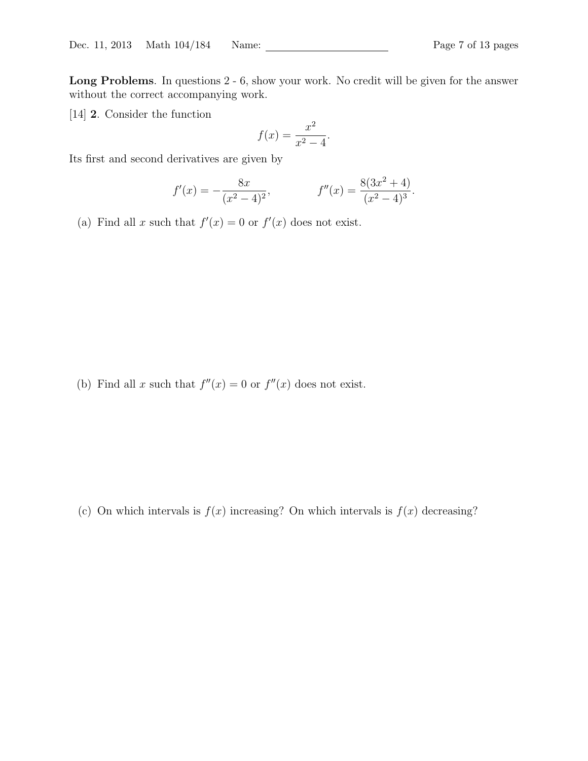Long Problems. In questions 2 - 6, show your work. No credit will be given for the answer without the correct accompanying work.

[14] 2. Consider the function

$$
f(x) = \frac{x^2}{x^2 - 4}.
$$

Its first and second derivatives are given by

$$
f'(x) = -\frac{8x}{(x^2 - 4)^2}, \qquad f''(x) = \frac{8(3x^2 + 4)}{(x^2 - 4)^3}.
$$

(a) Find all x such that  $f'(x) = 0$  or  $f'(x)$  does not exist.

(b) Find all x such that  $f''(x) = 0$  or  $f''(x)$  does not exist.

(c) On which intervals is  $f(x)$  increasing? On which intervals is  $f(x)$  decreasing?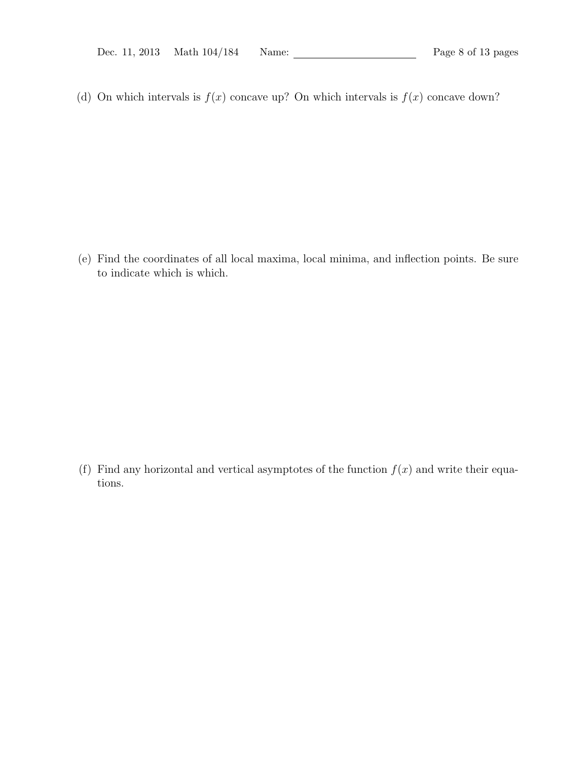(d) On which intervals is  $f(x)$  concave up? On which intervals is  $f(x)$  concave down?

(e) Find the coordinates of all local maxima, local minima, and inflection points. Be sure to indicate which is which.

(f) Find any horizontal and vertical asymptotes of the function  $f(x)$  and write their equations.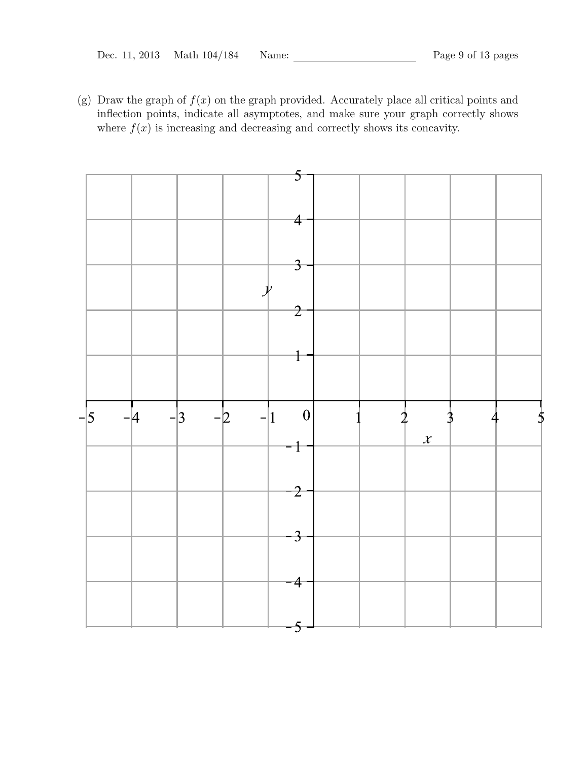(g) Draw the graph of  $f(x)$  on the graph provided. Accurately place all critical points and inflection points, indicate all asymptotes, and make sure your graph correctly shows where  $f(x)$  is increasing and decreasing and correctly shows its concavity.

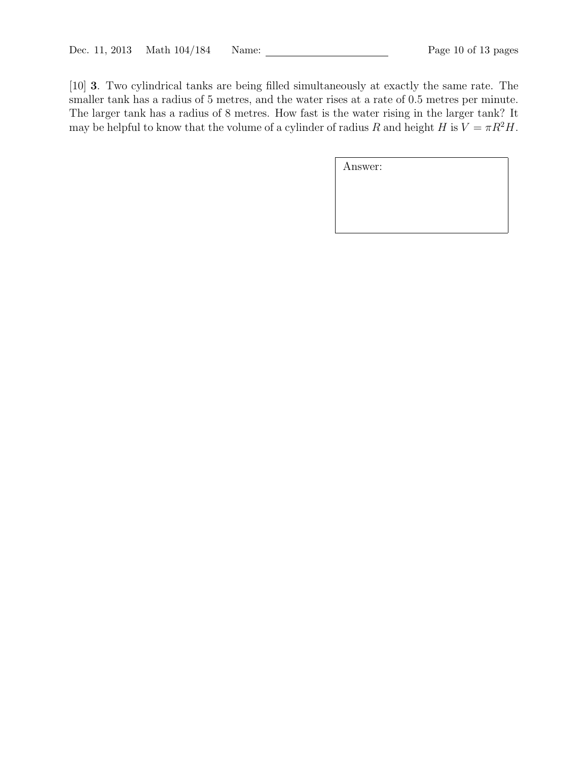[10] 3. Two cylindrical tanks are being filled simultaneously at exactly the same rate. The smaller tank has a radius of 5 metres, and the water rises at a rate of 0.5 metres per minute. The larger tank has a radius of 8 metres. How fast is the water rising in the larger tank? It may be helpful to know that the volume of a cylinder of radius R and height H is  $V = \pi R^2 H$ .

| Answer: |  |  |
|---------|--|--|
|         |  |  |
|         |  |  |
|         |  |  |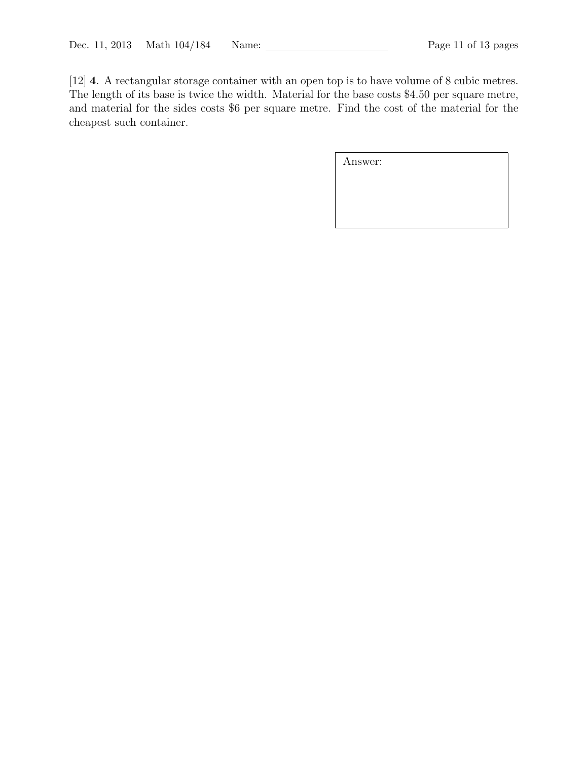[12] 4. A rectangular storage container with an open top is to have volume of 8 cubic metres. The length of its base is twice the width. Material for the base costs \$4.50 per square metre, and material for the sides costs \$6 per square metre. Find the cost of the material for the cheapest such container.

| Answer: |  |  |
|---------|--|--|
|         |  |  |
|         |  |  |
|         |  |  |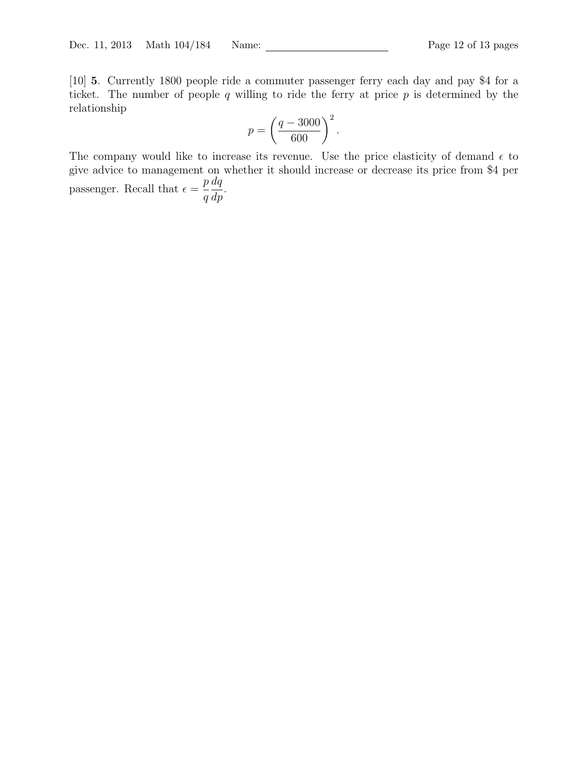[10] 5. Currently 1800 people ride a commuter passenger ferry each day and pay \$4 for a ticket. The number of people  $q$  willing to ride the ferry at price  $p$  is determined by the relationship

$$
p = \left(\frac{q - 3000}{600}\right)^2.
$$

The company would like to increase its revenue. Use the price elasticity of demand  $\epsilon$  to give advice to management on whether it should increase or decrease its price from \$4 per passenger. Recall that  $\epsilon =$ p q  $dq$  $rac{dq}{dp}$ .